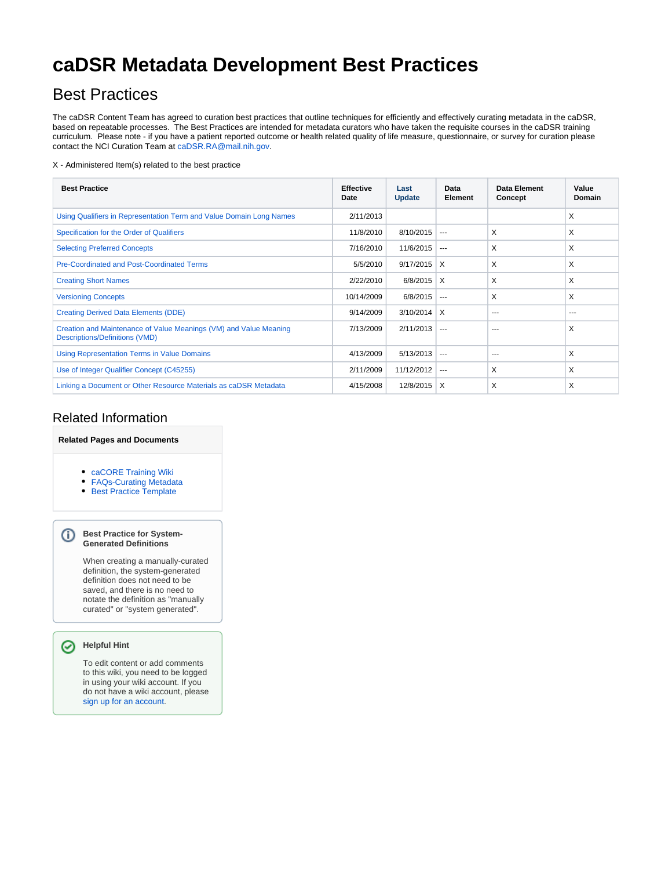# **caDSR Metadata Development Best Practices**

## Best Practices

The caDSR Content Team has agreed to curation best practices that outline techniques for efficiently and effectively curating metadata in the caDSR, based on repeatable processes. The Best Practices are intended for metadata curators who have taken the requisite courses in the caDSR training curriculum. Please note - if you have a patient reported outcome or health related quality of life measure, questionnaire, or survey for curation please contact the NCI Curation Team at [caDSR.RA@mail.nih.gov.](mailto:caDSR.RA@mail.nih.gov)

#### X - Administered Item(s) related to the best practice

| <b>Best Practice</b>                                                                                       | <b>Effective</b><br>Date | Last<br><b>Update</b> | Data<br>Element         | Data Element<br>Concept | Value<br><b>Domain</b> |
|------------------------------------------------------------------------------------------------------------|--------------------------|-----------------------|-------------------------|-------------------------|------------------------|
| Using Qualifiers in Representation Term and Value Domain Long Names                                        | 2/11/2013                |                       |                         |                         | X                      |
| Specification for the Order of Qualifiers                                                                  | 11/8/2010                | 8/10/2015             | $---$                   | X                       | X                      |
| <b>Selecting Preferred Concepts</b>                                                                        | 7/16/2010                | 11/6/2015             | $---$                   | X                       | X                      |
| Pre-Coordinated and Post-Coordinated Terms                                                                 | 5/5/2010                 | $9/17/2015$ X         |                         | X                       | X                      |
| <b>Creating Short Names</b>                                                                                | 2/22/2010                | 6/8/2015              | $\mathsf{I} \mathsf{X}$ | X                       | X                      |
| <b>Versioning Concepts</b>                                                                                 | 10/14/2009               | 6/8/2015              | $---$                   | X                       | X                      |
| <b>Creating Derived Data Elements (DDE)</b>                                                                | 9/14/2009                | 3/10/2014             | $\times$                | ---                     | $\cdots$               |
| Creation and Maintenance of Value Meanings (VM) and Value Meaning<br><b>Descriptions/Definitions (VMD)</b> | 7/13/2009                | 2/11/2013             | $\sim$ $\sim$           | ---                     | X                      |
| <b>Using Representation Terms in Value Domains</b>                                                         | 4/13/2009                | 5/13/2013             | $- - -$                 | ---                     | X                      |
| Use of Integer Qualifier Concept (C45255)                                                                  | 2/11/2009                | 11/12/2012            | $---$                   | X                       | X                      |
| Linking a Document or Other Resource Materials as caDSR Metadata                                           | 4/15/2008                | 12/8/2015             | $\times$                | X                       | X                      |

### Related Information

### **Related Pages and Documents**

- [caCORE Training Wiki](https://wiki.nci.nih.gov/x/OAFy)
- [FAQs-Curating Metadata](https://wiki.nci.nih.gov/x/oYBr)
- **Best Practice Template**

#### **Best Practice for System-Generated Definitions**

When creating a manually-curated definition, the system-generated definition does not need to be saved, and there is no need to notate the definition as "manually curated" or "system generated".

#### **Helpful Hint** ⊘

G)

To edit content or add comments to this wiki, you need to be logged in using your wiki account. If you do not have a wiki account, please [sign up for an account.](http://wikiutils.nci.nih.gov/wiki_signup)